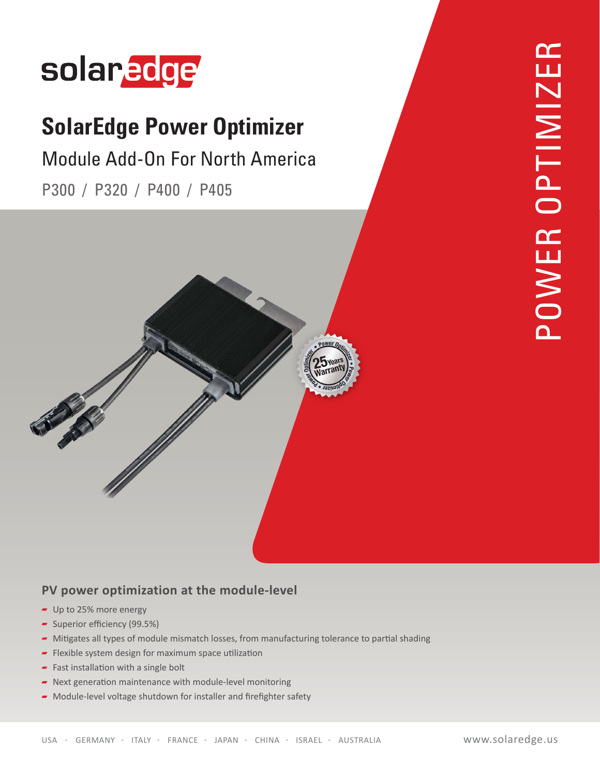

## **SolarEdge Power Optimizer**

## Module Add-On For North America

P300 / P320 / P400 / P405



#### **PV power optimization at the module-level**

- $-$  Up to 25% more energy
- Superior efficiency (99.5%)
- Mitigates all types of module mismatch losses, from manufacturing tolerance to partial shading
- $\blacksquare$  Flexible system design for maximum space utilization
- Fast installation with a single bolt
- $\blacksquare$  Next generation maintenance with module-level monitoring
- $\blacktriangleright$  Module-level voltage shutdown for installer and firefighter safety